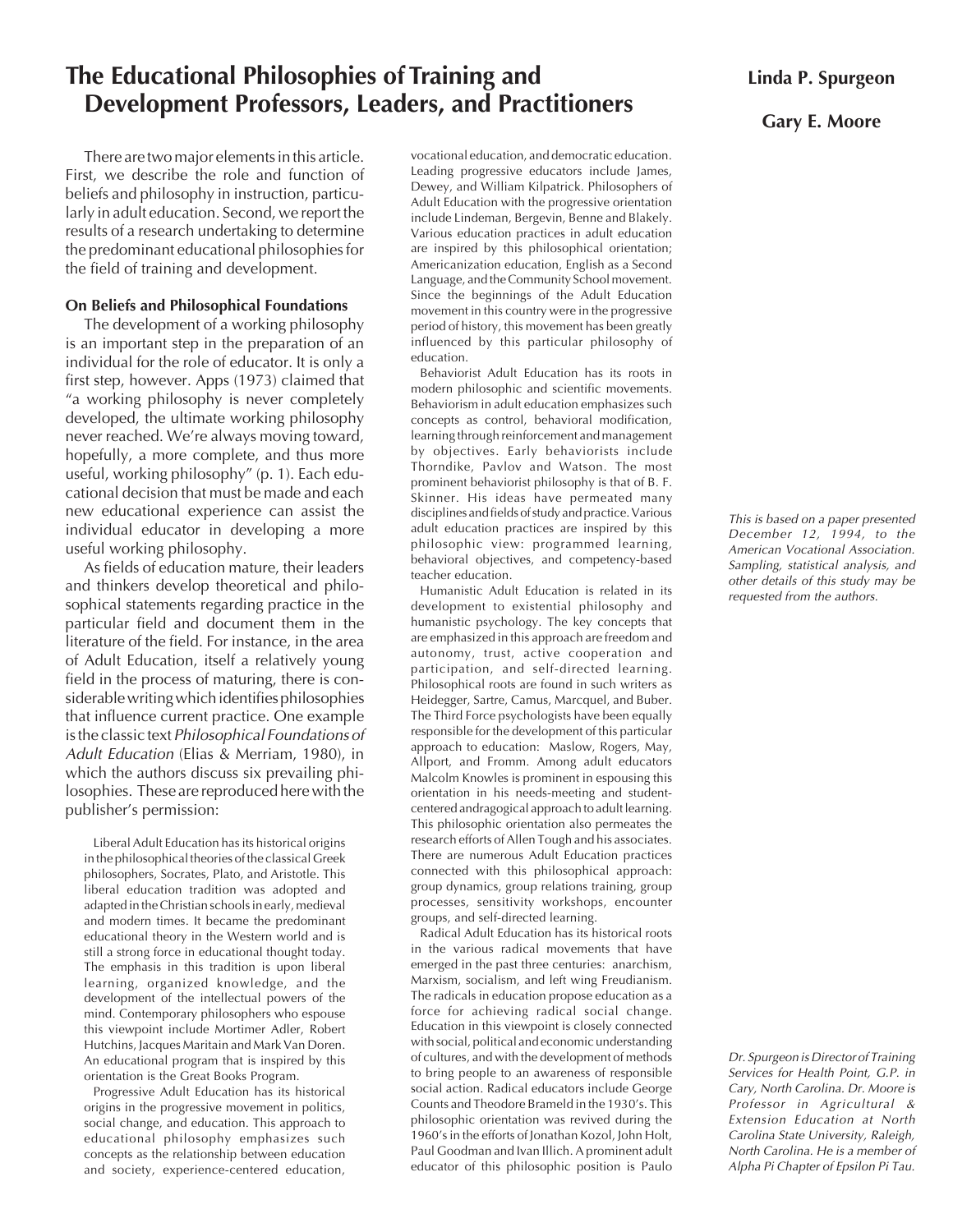# **The Educational Philosophies of Training and Development Professors, Leaders, and Practitioners**

There are two major elements in this article. First, we describe the role and function of beliefs and philosophy in instruction, particularly in adult education. Second, we report the results of a research undertaking to determine the predominant educational philosophies for the field of training and development.

## **On Beliefs and Philosophical Foundations**

The development of a working philosophy is an important step in the preparation of an individual for the role of educator. It is only a first step, however. Apps (1973) claimed that "a working philosophy is never completely developed, the ultimate working philosophy never reached. We're always moving toward, hopefully, a more complete, and thus more useful, working philosophy" (p. 1). Each educational decision that must be made and each new educational experience can assist the individual educator in developing a more useful working philosophy.

As fields of education mature, their leaders and thinkers develop theoretical and philosophical statements regarding practice in the particular field and document them in the literature of the field. For instance, in the area of Adult Education, itself a relatively young field in the process of maturing, there is considerable writing which identifies philosophies that influence current practice. One example is the classic text Philosophical Foundations of Adult Education (Elias & Merriam, 1980), in which the authors discuss six prevailing philosophies. These are reproduced here with the publisher's permission:

Liberal Adult Education has its historical origins in the philosophical theories of the classical Greek philosophers, Socrates, Plato, and Aristotle. This liberal education tradition was adopted and adapted in the Christian schools in early, medieval and modern times. It became the predominant educational theory in the Western world and is still a strong force in educational thought today. The emphasis in this tradition is upon liberal learning, organized knowledge, and the development of the intellectual powers of the mind. Contemporary philosophers who espouse this viewpoint include Mortimer Adler, Robert Hutchins, Jacques Maritain and Mark Van Doren. An educational program that is inspired by this orientation is the Great Books Program.

Progressive Adult Education has its historical origins in the progressive movement in politics, social change, and education. This approach to educational philosophy emphasizes such concepts as the relationship between education and society, experience-centered education, vocational education, and democratic education. Leading progressive educators include James, Dewey, and William Kilpatrick. Philosophers of Adult Education with the progressive orientation include Lindeman, Bergevin, Benne and Blakely. Various education practices in adult education are inspired by this philosophical orientation; Americanization education, English as a Second Language, and the Community School movement. Since the beginnings of the Adult Education movement in this country were in the progressive period of history, this movement has been greatly influenced by this particular philosophy of education.

Behaviorist Adult Education has its roots in modern philosophic and scientific movements. Behaviorism in adult education emphasizes such concepts as control, behavioral modification, learning through reinforcement and management by objectives. Early behaviorists include Thorndike, Pavlov and Watson. The most prominent behaviorist philosophy is that of B. F. Skinner. His ideas have permeated many disciplines and fields of study and practice. Various adult education practices are inspired by this philosophic view: programmed learning, behavioral objectives, and competency-based teacher education.

Humanistic Adult Education is related in its development to existential philosophy and humanistic psychology. The key concepts that are emphasized in this approach are freedom and autonomy, trust, active cooperation and participation, and self-directed learning. Philosophical roots are found in such writers as Heidegger, Sartre, Camus, Marcquel, and Buber. The Third Force psychologists have been equally responsible for the development of this particular approach to education: Maslow, Rogers, May, Allport, and Fromm. Among adult educators Malcolm Knowles is prominent in espousing this orientation in his needs-meeting and studentcentered andragogical approach to adult learning. This philosophic orientation also permeates the research efforts of Allen Tough and his associates. There are numerous Adult Education practices connected with this philosophical approach: group dynamics, group relations training, group processes, sensitivity workshops, encounter groups, and self-directed learning.

Radical Adult Education has its historical roots in the various radical movements that have emerged in the past three centuries: anarchism, Marxism, socialism, and left wing Freudianism. The radicals in education propose education as a force for achieving radical social change. Education in this viewpoint is closely connected with social, political and economic understanding of cultures, and with the development of methods to bring people to an awareness of responsible social action. Radical educators include George Counts and Theodore Brameld in the 1930's. This philosophic orientation was revived during the 1960's in the efforts of Jonathan Kozol, John Holt, Paul Goodman and Ivan Illich. A prominent adult educator of this philosophic position is Paulo

# **Gary E. Moore**

This is based on a paper presented December 12, 1994, to the American Vocational Association. Sampling, statistical analysis, and other details of this study may be requested from the authors.

Dr. Spurgeon is Director of Training Services for Health Point, G.P. in Cary, North Carolina. Dr. Moore is Professor in Agricultural & Extension Education at North Carolina State University, Raleigh, North Carolina. He is a member of Alpha Pi Chapter of Epsilon Pi Tau.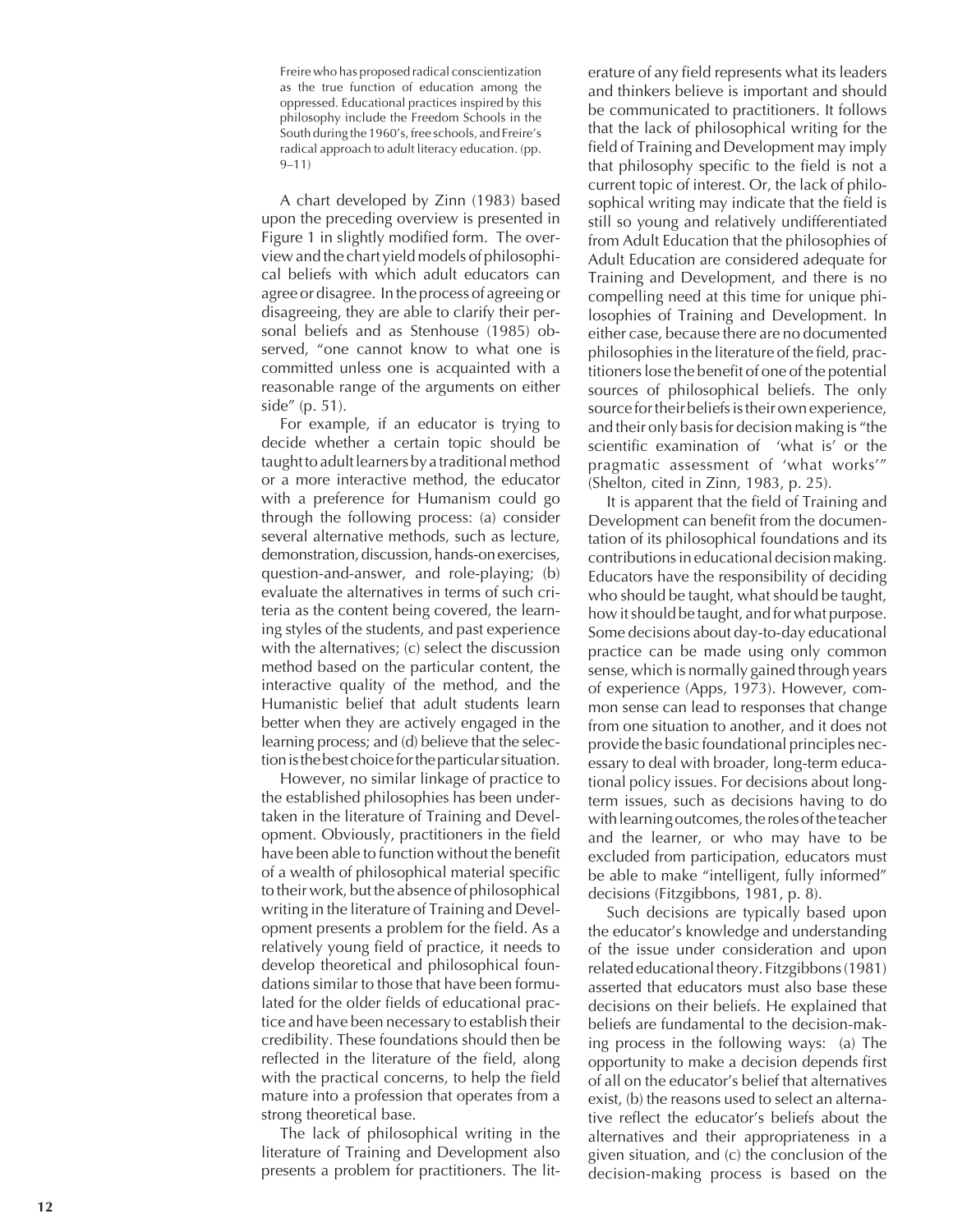Freire who has proposed radical conscientization as the true function of education among the oppressed. Educational practices inspired by this philosophy include the Freedom Schools in the South during the 1960's, free schools, and Freire's radical approach to adult literacy education. (pp. 9–11)

A chart developed by Zinn (1983) based upon the preceding overview is presented in Figure 1 in slightly modified form. The overview and the chart yield models of philosophical beliefs with which adult educators can agree or disagree. In the process of agreeing or disagreeing, they are able to clarify their personal beliefs and as Stenhouse (1985) observed, "one cannot know to what one is committed unless one is acquainted with a reasonable range of the arguments on either side" (p. 51).

For example, if an educator is trying to decide whether a certain topic should be taught to adult learners by a traditional method or a more interactive method, the educator with a preference for Humanism could go through the following process: (a) consider several alternative methods, such as lecture, demonstration, discussion, hands-on exercises, question-and-answer, and role-playing; (b) evaluate the alternatives in terms of such criteria as the content being covered, the learning styles of the students, and past experience with the alternatives; (c) select the discussion method based on the particular content, the interactive quality of the method, and the Humanistic belief that adult students learn better when they are actively engaged in the learning process; and (d) believe that the selection is the best choice for the particular situation.

However, no similar linkage of practice to the established philosophies has been undertaken in the literature of Training and Development. Obviously, practitioners in the field have been able to function without the benefit of a wealth of philosophical material specific to their work, but the absence of philosophical writing in the literature of Training and Development presents a problem for the field. As a relatively young field of practice, it needs to develop theoretical and philosophical foundations similar to those that have been formulated for the older fields of educational practice and have been necessary to establish their credibility. These foundations should then be reflected in the literature of the field, along with the practical concerns, to help the field mature into a profession that operates from a strong theoretical base.

The lack of philosophical writing in the literature of Training and Development also presents a problem for practitioners. The lit-

erature of any field represents what its leaders and thinkers believe is important and should be communicated to practitioners. It follows that the lack of philosophical writing for the field of Training and Development may imply that philosophy specific to the field is not a current topic of interest. Or, the lack of philosophical writing may indicate that the field is still so young and relatively undifferentiated from Adult Education that the philosophies of Adult Education are considered adequate for Training and Development, and there is no compelling need at this time for unique philosophies of Training and Development. In either case, because there are no documented philosophies in the literature of the field, practitioners lose the benefit of one of the potential sources of philosophical beliefs. The only source for their beliefs is their own experience, and their only basis for decision making is "the scientific examination of 'what is' or the pragmatic assessment of 'what works'" (Shelton, cited in Zinn, 1983, p. 25).

It is apparent that the field of Training and Development can benefit from the documentation of its philosophical foundations and its contributions in educational decision making. Educators have the responsibility of deciding who should be taught, what should be taught, how it should be taught, and for what purpose. Some decisions about day-to-day educational practice can be made using only common sense, which is normally gained through years of experience (Apps, 1973). However, common sense can lead to responses that change from one situation to another, and it does not provide the basic foundational principles necessary to deal with broader, long-term educational policy issues. For decisions about longterm issues, such as decisions having to do with learning outcomes, the roles of the teacher and the learner, or who may have to be excluded from participation, educators must be able to make "intelligent, fully informed" decisions (Fitzgibbons, 1981, p. 8).

Such decisions are typically based upon the educator's knowledge and understanding of the issue under consideration and upon related educational theory. Fitzgibbons (1981) asserted that educators must also base these decisions on their beliefs. He explained that beliefs are fundamental to the decision-making process in the following ways: (a) The opportunity to make a decision depends first of all on the educator's belief that alternatives exist, (b) the reasons used to select an alternative reflect the educator's beliefs about the alternatives and their appropriateness in a given situation, and (c) the conclusion of the decision-making process is based on the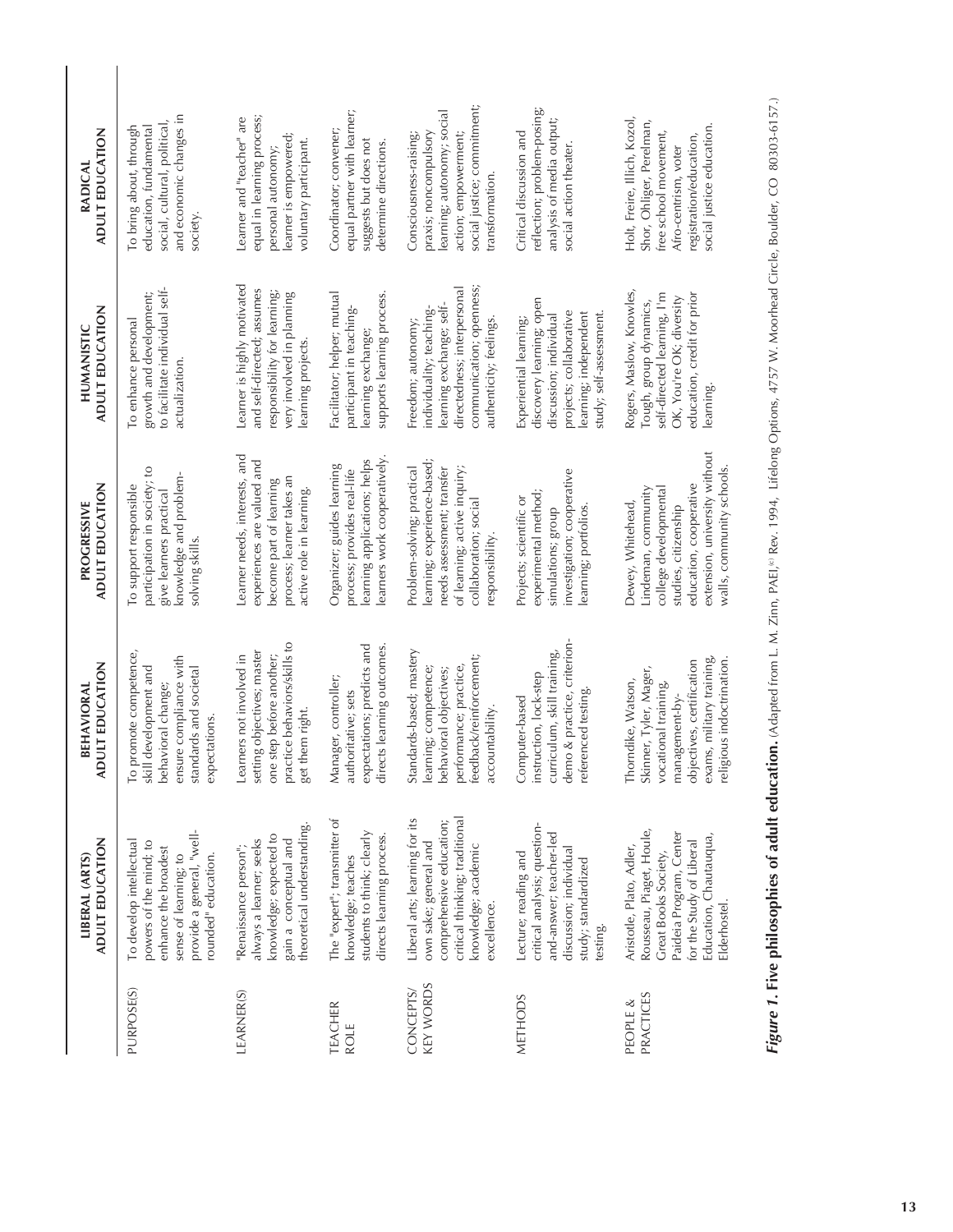|                               | ADULT EDUCATION<br>LIBERAL (ARTS)                                                                                                                                             | ULT EDUCATION<br>BEHAVIORAL<br>G                                                                                                                                             | ADULT EDUCATION<br>PROGRESSIVE                                                                                                                                                   | ADULT EDUCATION<br>HUMANISTIC                                                                                                                                   | <b>ADULT EDUCATION</b><br>RADICAL                                                                                                                                 |
|-------------------------------|-------------------------------------------------------------------------------------------------------------------------------------------------------------------------------|------------------------------------------------------------------------------------------------------------------------------------------------------------------------------|----------------------------------------------------------------------------------------------------------------------------------------------------------------------------------|-----------------------------------------------------------------------------------------------------------------------------------------------------------------|-------------------------------------------------------------------------------------------------------------------------------------------------------------------|
| PURPOSE(S)                    | provide a general, "well-<br>powers of the mind; to<br>To develop intellectual<br>enhance the broadest<br>sense of learning; to<br>rounded" education.                        | promote competence,<br>ensure compliance with<br>development and<br>standards and societal<br>behavioral change;<br>expectations.<br>To<br>skill                             | participation in society; to<br>knowledge and problem-<br>To support responsible<br>give learners practical<br>solving skills.                                                   | to facilitate individual self-<br>growth and development;<br>To enhance personal<br>actualization.                                                              | and economic changes in<br>social, cultural, political,<br>To bring about, through<br>education, fundamental<br>society                                           |
| LEARNER(S)                    | theoretical understanding.<br>knowledge; expected to<br>always a learner; seeks<br>gain a conceptual and<br>"Renaissance person";                                             | practice behaviors/skills to<br>setting objectives; master<br>Learners not involved in<br>one step before another;<br>get them right                                         | Learner needs, interests, and<br>experiences are valued and<br>process; learner takes an<br>become part of learning<br>active role in learning.                                  | Learner is highly motivated<br>and self-directed; assumes<br>responsibility for learning;<br>very involved in planning<br>learning projects                     | equal in learning process;<br>Learner and "teacher" are<br>learner is empowered;<br>voluntary participant<br>personal autonomy;                                   |
| TEACHER<br><b>ROLE</b>        | The "expert"; transmitter of<br>students to think; clearly<br>directs learning process.<br>knowledge; teaches                                                                 | expectations; predicts and<br>directs learning outcomes<br>Manager, controller;<br>authoritative; sets                                                                       | learners work cooperatively<br>learning applications; helps<br>Organizer; guides learning<br>process; provides real-life                                                         | Facilitator; helper; mutual<br>supports learning process.<br>participant in teaching-<br>learning exchange;                                                     | equal partner with learner;<br>Coordinator; convener;<br>suggests but does not<br>determine directions.                                                           |
| <b>KEY WORDS</b><br>CONCEPTS/ | Liberal arts; learning for its<br>critical thinking; traditional<br>comprehensive education;<br>own sake; general and<br>knowledge; academic<br>excellence.                   | Standards-based; mastery<br>feedback/reinforcement;<br>learning; competence;<br>performance; practice,<br>behavioral objectives;<br>accountability                           | learning; experience-based;<br>of learning; active inquiry;<br>Problem-solving; practical<br>needs assessment; transfer<br>collaboration; social<br>responsibility.              | communication; openness;<br>directedness; interpersonal<br>learning exchange; self-<br>individuality; teaching-<br>authenticity; feelings<br>Freedom; autonomy; | social justice; commitment;<br>learning; autonomy; social<br>praxis; noncompulsory<br>Consciousness-raising;<br>action; empowerment;<br>transformation.           |
| <b>METHODS</b>                | critical analysis; question-<br>and-answer; teacher-led<br>discussion; individual<br>Lecture; reading and<br>study; standardized<br>testing.                                  | demo & practice, criterion-<br>curriculum, skill training,<br>instruction, lock-step<br>referenced testing<br>Computer-based                                                 | investigation; cooperative<br>experimental method;<br>Projects; scientific or<br>learning; portfolios<br>simulations; group                                                      | discovery learning; open<br>projects; collaborative<br>learning; independent<br>study; self-assessment.<br>discussion; individual<br>Experiential learning;     | reflection; problem-posing;<br>analysis of media output;<br>Critical discussion and<br>social action theater                                                      |
| <b>PRACTICES</b><br>PEOPLE &  | Rousseau, Piaget, Houle,<br>Paideia Program, Center<br>Education, Chautauqua,<br>for the Study of Liberal<br>Aristotle, Plato, Adler,<br>Great Books Society,<br>Elderhostel. | exams, military training,<br>religious indoctrination<br>objectives, certification<br>Skinner, Tyler, Mager,<br>Thorndike, Watson,<br>vocational training,<br>management-by- | extension, university without<br>walls, community schools<br>education, cooperative<br>Lindeman, community<br>college developmental<br>Dewey, Whitehead,<br>studies, citizenship | Rogers, Maslow, Knowles,<br>self-directed learning, I'm<br>education, credit for prior<br>OK, You're OK; diversity<br>Tough, group dynamics,<br>learning        | Holt, Freire, Illich, Kozol,<br>Shor, Ohliger, Perelman,<br>social justice education.<br>free school movement,<br>registration/education,<br>Afro-centrism, voter |

Figure 1. Five philosophies of adult education. (Adapted from L. M. Zinn, PAEI,<sup>10</sup> Rev. 1994, Lifelong Options, 4757 W. Moorhead Circle, Boulder, CO 80303-6157.) **Figure 1. Five philosophies of adult education.** (Adapted from L. M. Zinn, PAEI,<sup>(a</sup> Rev. 1994, Lifelong Options, 4757 W. Moorhead Circle, Boulder, CO 80303-6157.)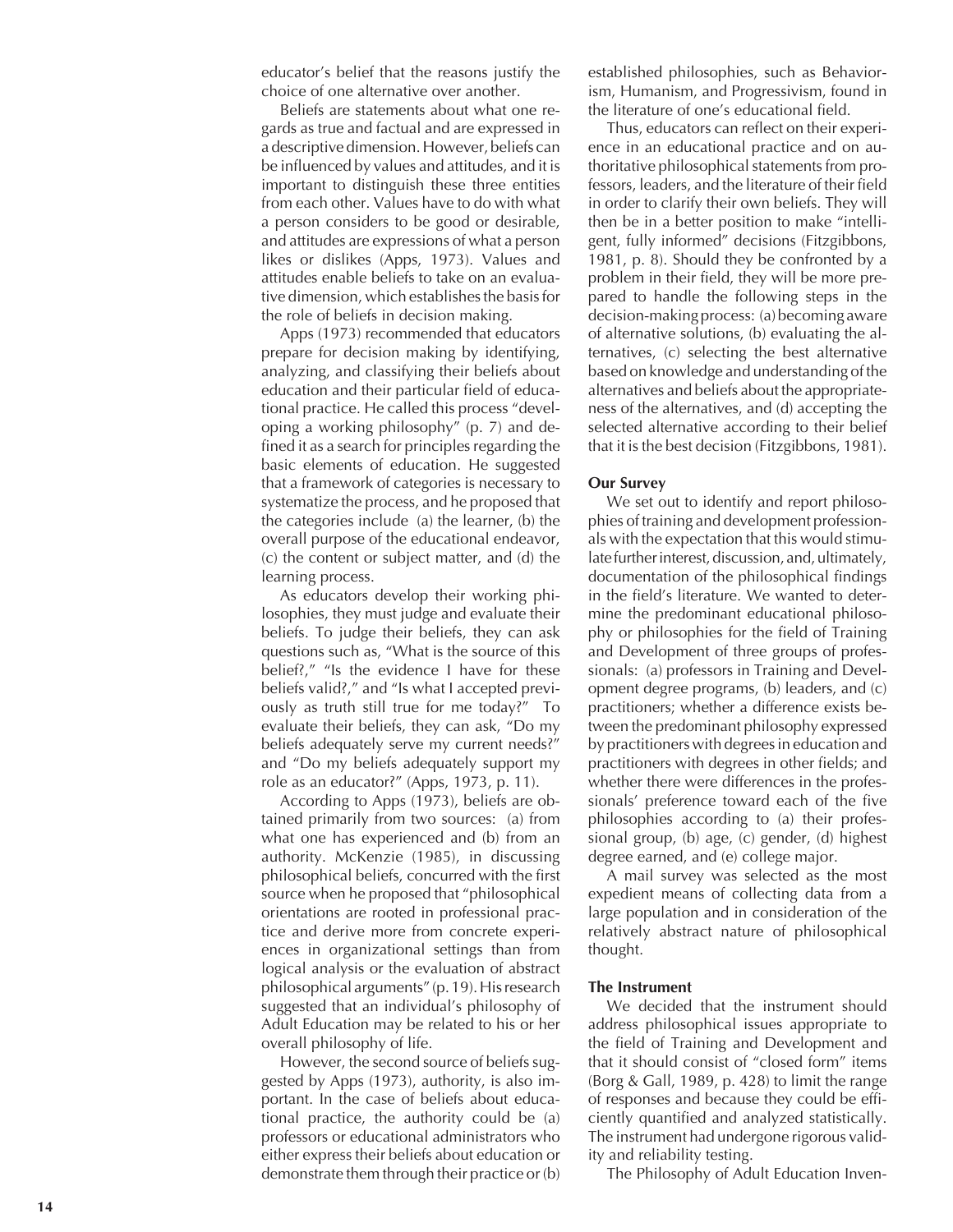educator's belief that the reasons justify the choice of one alternative over another.

Beliefs are statements about what one regards as true and factual and are expressed in a descriptive dimension. However, beliefs can be influenced by values and attitudes, and it is important to distinguish these three entities from each other. Values have to do with what a person considers to be good or desirable, and attitudes are expressions of what a person likes or dislikes (Apps, 1973). Values and attitudes enable beliefs to take on an evaluative dimension, which establishes the basis for the role of beliefs in decision making.

Apps (1973) recommended that educators prepare for decision making by identifying, analyzing, and classifying their beliefs about education and their particular field of educational practice. He called this process "developing a working philosophy" (p. 7) and defined it as a search for principles regarding the basic elements of education. He suggested that a framework of categories is necessary to systematize the process, and he proposed that the categories include (a) the learner, (b) the overall purpose of the educational endeavor, (c) the content or subject matter, and (d) the learning process.

As educators develop their working philosophies, they must judge and evaluate their beliefs. To judge their beliefs, they can ask questions such as, "What is the source of this belief?," "Is the evidence I have for these beliefs valid?," and "Is what I accepted previously as truth still true for me today?" To evaluate their beliefs, they can ask, "Do my beliefs adequately serve my current needs?" and "Do my beliefs adequately support my role as an educator?" (Apps, 1973, p. 11).

According to Apps (1973), beliefs are obtained primarily from two sources: (a) from what one has experienced and (b) from an authority. McKenzie (1985), in discussing philosophical beliefs, concurred with the first source when he proposed that "philosophical orientations are rooted in professional practice and derive more from concrete experiences in organizational settings than from logical analysis or the evaluation of abstract philosophical arguments" (p. 19). His research suggested that an individual's philosophy of Adult Education may be related to his or her overall philosophy of life.

However, the second source of beliefs suggested by Apps (1973), authority, is also important. In the case of beliefs about educational practice, the authority could be (a) professors or educational administrators who either express their beliefs about education or demonstrate them through their practice or (b)

established philosophies, such as Behaviorism, Humanism, and Progressivism, found in the literature of one's educational field.

Thus, educators can reflect on their experience in an educational practice and on authoritative philosophical statements from professors, leaders, and the literature of their field in order to clarify their own beliefs. They will then be in a better position to make "intelligent, fully informed" decisions (Fitzgibbons, 1981, p. 8). Should they be confronted by a problem in their field, they will be more prepared to handle the following steps in the decision-making process: (a) becoming aware of alternative solutions, (b) evaluating the alternatives, (c) selecting the best alternative based on knowledge and understanding of the alternatives and beliefs about the appropriateness of the alternatives, and (d) accepting the selected alternative according to their belief that it is the best decision (Fitzgibbons, 1981).

#### **Our Survey**

We set out to identify and report philosophies of training and development professionals with the expectation that this would stimulate further interest, discussion, and, ultimately, documentation of the philosophical findings in the field's literature. We wanted to determine the predominant educational philosophy or philosophies for the field of Training and Development of three groups of professionals: (a) professors in Training and Development degree programs, (b) leaders, and (c) practitioners; whether a difference exists between the predominant philosophy expressed by practitioners with degrees in education and practitioners with degrees in other fields; and whether there were differences in the professionals' preference toward each of the five philosophies according to (a) their professional group, (b) age, (c) gender, (d) highest degree earned, and (e) college major.

A mail survey was selected as the most expedient means of collecting data from a large population and in consideration of the relatively abstract nature of philosophical thought.

# **The Instrument**

We decided that the instrument should address philosophical issues appropriate to the field of Training and Development and that it should consist of "closed form" items (Borg & Gall, 1989, p. 428) to limit the range of responses and because they could be efficiently quantified and analyzed statistically. The instrument had undergone rigorous validity and reliability testing.

The Philosophy of Adult Education Inven-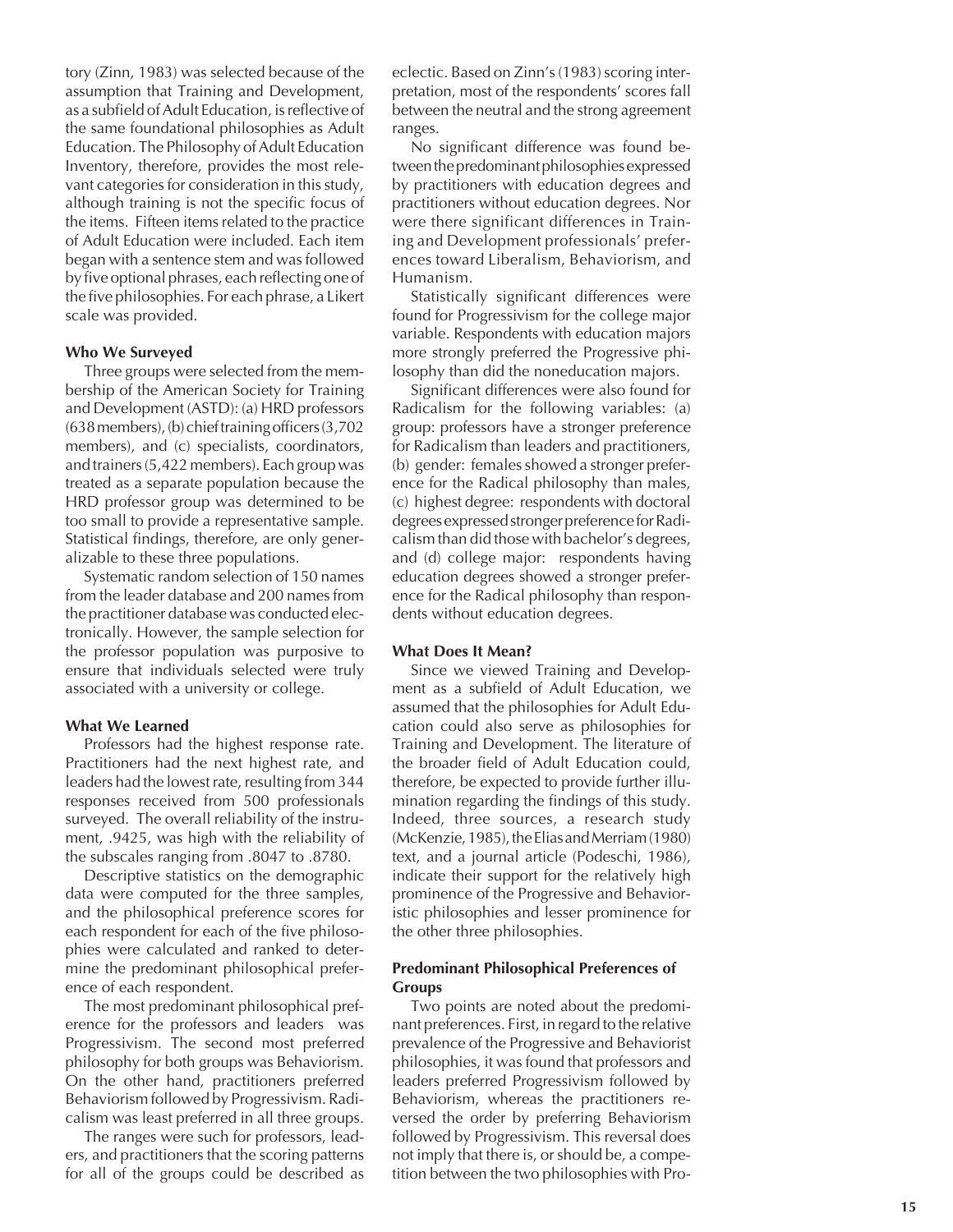tory (Zinn, 1983) was selected because of the assumption that Training and Development, as a subfield of Adult Education, is reflective of the same foundational philosophies as Adult Education. The Philosophy of Adult Education Inventory, therefore, provides the most relevant categories for consideration in this study, although training is not the specific focus of the items. Fifteen items related to the practice of Adult Education were included. Each item began with a sentence stem and was followed by five optional phrases, each reflecting one of the five philosophies. For each phrase, a Likert scale was provided.

#### **Who We Surveyed**

Three groups were selected from the membership of the American Society for Training and Development (ASTD): (a) HRD professors (638 members), (b) chief training officers (3,702 members), and (c) specialists, coordinators, and trainers (5,422 members). Each group was treated as a separate population because the HRD professor group was determined to be too small to provide a representative sample. Statistical findings, therefore, are only generalizable to these three populations.

Systematic random selection of 150 names from the leader database and 200 names from the practitioner database was conducted electronically. However, the sample selection for the professor population was purposive to ensure that individuals selected were truly associated with a university or college.

#### **What We Learned**

Professors had the highest response rate. Practitioners had the next highest rate, and leaders had the lowest rate, resulting from 344 responses received from 500 professionals surveyed. The overall reliability of the instrument, .9425, was high with the reliability of the subscales ranging from .8047 to .8780.

Descriptive statistics on the demographic data were computed for the three samples, and the philosophical preference scores for each respondent for each of the five philosophies were calculated and ranked to determine the predominant philosophical preference of each respondent.

The most predominant philosophical preference for the professors and leaders was Progressivism. The second most preferred philosophy for both groups was Behaviorism. On the other hand, practitioners preferred Behaviorism followed by Progressivism. Radicalism was least preferred in all three groups.

The ranges were such for professors, leaders, and practitioners that the scoring patterns for all of the groups could be described as eclectic. Based on Zinn's (1983) scoring interpretation, most of the respondents' scores fall between the neutral and the strong agreement ranges.

No significant difference was found between the predominant philosophies expressed by practitioners with education degrees and practitioners without education degrees. Nor were there significant differences in Training and Development professionals' preferences toward Liberalism, Behaviorism, and Humanism.

Statistically significant differences were found for Progressivism for the college major variable. Respondents with education majors more strongly preferred the Progressive philosophy than did the noneducation majors.

Significant differences were also found for Radicalism for the following variables: (a) group: professors have a stronger preference for Radicalism than leaders and practitioners, (b) gender: females showed a stronger preference for the Radical philosophy than males, (c) highest degree: respondents with doctoral degrees expressed stronger preference for Radicalism than did those with bachelor's degrees, and (d) college major: respondents having education degrees showed a stronger preference for the Radical philosophy than respondents without education degrees.

#### **What Does It Mean?**

Since we viewed Training and Development as a subfield of Adult Education, we assumed that the philosophies for Adult Education could also serve as philosophies for Training and Development. The literature of the broader field of Adult Education could, therefore, be expected to provide further illumination regarding the findings of this study. Indeed, three sources, a research study (McKenzie, 1985), the Elias and Merriam (1980) text, and a journal article (Podeschi, 1986), indicate their support for the relatively high prominence of the Progressive and Behavioristic philosophies and lesser prominence for the other three philosophies.

## **Predominant Philosophical Preferences of Groups**

Two points are noted about the predominant preferences. First, in regard to the relative prevalence of the Progressive and Behaviorist philosophies, it was found that professors and leaders preferred Progressivism followed by Behaviorism, whereas the practitioners reversed the order by preferring Behaviorism followed by Progressivism. This reversal does not imply that there is, or should be, a competition between the two philosophies with Pro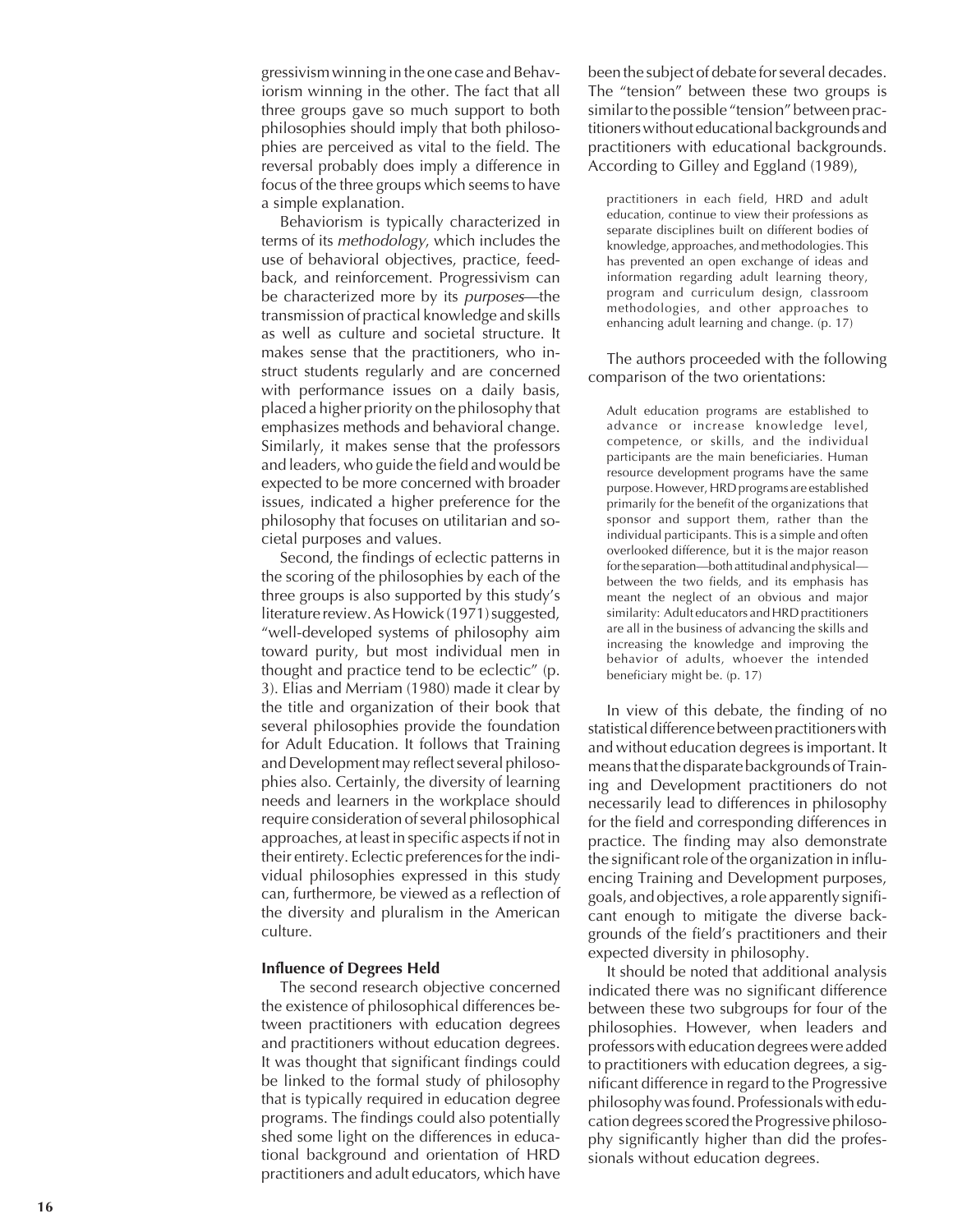gressivism winning in the one case and Behaviorism winning in the other. The fact that all three groups gave so much support to both philosophies should imply that both philosophies are perceived as vital to the field. The reversal probably does imply a difference in focus of the three groups which seems to have a simple explanation.

Behaviorism is typically characterized in terms of its methodology, which includes the use of behavioral objectives, practice, feedback, and reinforcement. Progressivism can be characterized more by its purposes—the transmission of practical knowledge and skills as well as culture and societal structure. It makes sense that the practitioners, who instruct students regularly and are concerned with performance issues on a daily basis, placed a higher priority on the philosophy that emphasizes methods and behavioral change. Similarly, it makes sense that the professors and leaders, who guide the field and would be expected to be more concerned with broader issues, indicated a higher preference for the philosophy that focuses on utilitarian and societal purposes and values.

Second, the findings of eclectic patterns in the scoring of the philosophies by each of the three groups is also supported by this study's literature review. As Howick (1971) suggested, "well-developed systems of philosophy aim toward purity, but most individual men in thought and practice tend to be eclectic" (p. 3). Elias and Merriam (1980) made it clear by the title and organization of their book that several philosophies provide the foundation for Adult Education. It follows that Training and Development may reflect several philosophies also. Certainly, the diversity of learning needs and learners in the workplace should require consideration of several philosophical approaches, at least in specific aspects if not in their entirety. Eclectic preferences for the individual philosophies expressed in this study can, furthermore, be viewed as a reflection of the diversity and pluralism in the American culture.

#### **Influence of Degrees Held**

The second research objective concerned the existence of philosophical differences between practitioners with education degrees and practitioners without education degrees. It was thought that significant findings could be linked to the formal study of philosophy that is typically required in education degree programs. The findings could also potentially shed some light on the differences in educational background and orientation of HRD practitioners and adult educators, which have

been the subject of debate for several decades. The "tension" between these two groups is similar to the possible "tension" between practitioners without educational backgrounds and practitioners with educational backgrounds. According to Gilley and Eggland (1989),

practitioners in each field, HRD and adult education, continue to view their professions as separate disciplines built on different bodies of knowledge, approaches, and methodologies. This has prevented an open exchange of ideas and information regarding adult learning theory, program and curriculum design, classroom methodologies, and other approaches to enhancing adult learning and change. (p. 17)

The authors proceeded with the following comparison of the two orientations:

Adult education programs are established to advance or increase knowledge level, competence, or skills, and the individual participants are the main beneficiaries. Human resource development programs have the same purpose. However, HRD programs are established primarily for the benefit of the organizations that sponsor and support them, rather than the individual participants. This is a simple and often overlooked difference, but it is the major reason for the separation—both attitudinal and physical between the two fields, and its emphasis has meant the neglect of an obvious and major similarity: Adult educators and HRD practitioners are all in the business of advancing the skills and increasing the knowledge and improving the behavior of adults, whoever the intended beneficiary might be. (p. 17)

In view of this debate, the finding of no statistical difference between practitioners with and without education degrees is important. It means that the disparate backgrounds of Training and Development practitioners do not necessarily lead to differences in philosophy for the field and corresponding differences in practice. The finding may also demonstrate the significant role of the organization in influencing Training and Development purposes, goals, and objectives, a role apparently significant enough to mitigate the diverse backgrounds of the field's practitioners and their expected diversity in philosophy.

It should be noted that additional analysis indicated there was no significant difference between these two subgroups for four of the philosophies. However, when leaders and professors with education degrees were added to practitioners with education degrees, a significant difference in regard to the Progressive philosophy was found. Professionals with education degrees scored the Progressive philosophy significantly higher than did the professionals without education degrees.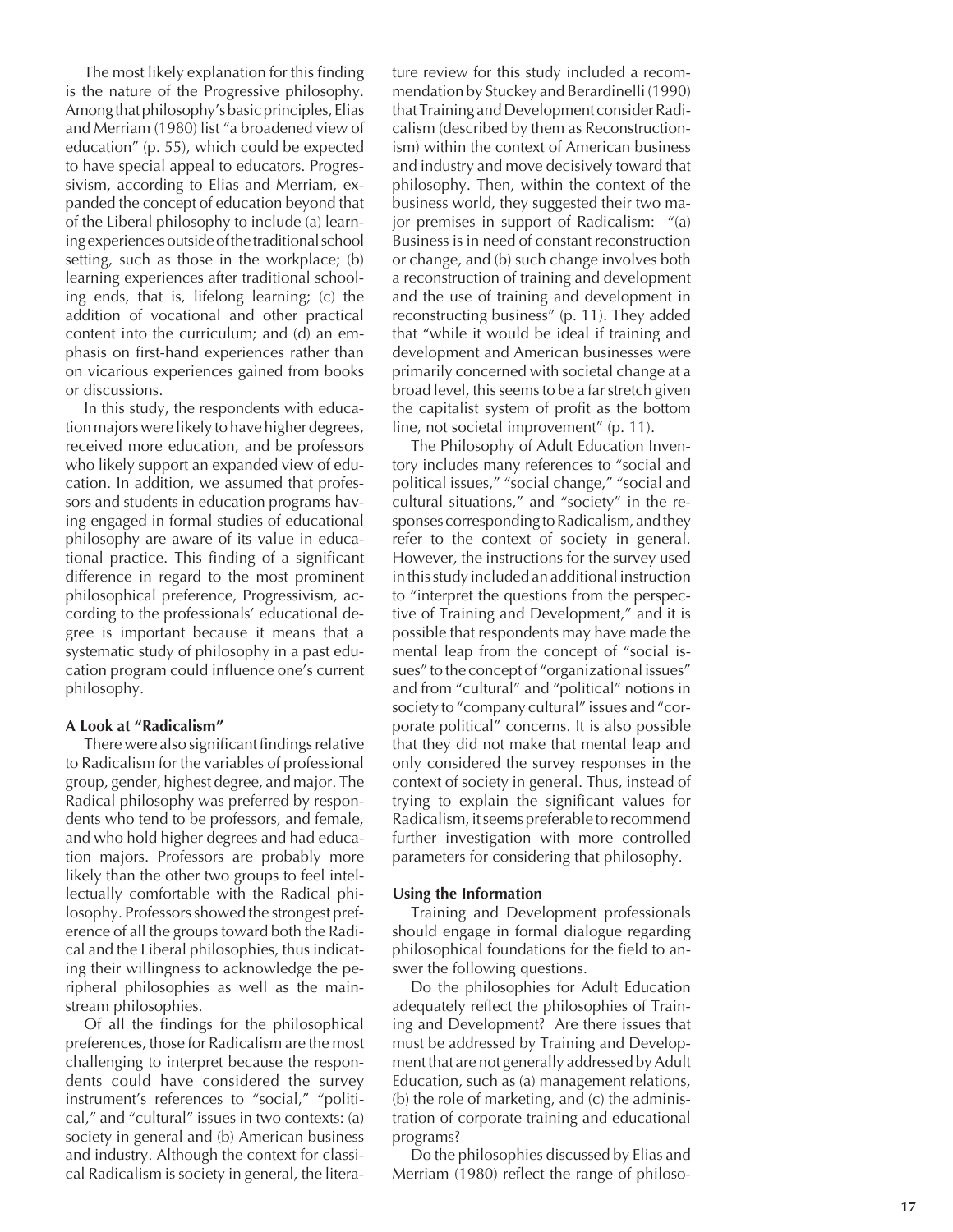The most likely explanation for this finding is the nature of the Progressive philosophy. Among that philosophy's basic principles, Elias and Merriam (1980) list "a broadened view of education" (p. 55), which could be expected to have special appeal to educators. Progressivism, according to Elias and Merriam, expanded the concept of education beyond that of the Liberal philosophy to include (a) learning experiences outside of the traditional school setting, such as those in the workplace; (b) learning experiences after traditional schooling ends, that is, lifelong learning; (c) the addition of vocational and other practical content into the curriculum; and (d) an emphasis on first-hand experiences rather than on vicarious experiences gained from books or discussions.

In this study, the respondents with education majors were likely to have higher degrees, received more education, and be professors who likely support an expanded view of education. In addition, we assumed that professors and students in education programs having engaged in formal studies of educational philosophy are aware of its value in educational practice. This finding of a significant difference in regard to the most prominent philosophical preference, Progressivism, according to the professionals' educational degree is important because it means that a systematic study of philosophy in a past education program could influence one's current philosophy.

#### **A Look at "Radicalism"**

There were also significant findings relative to Radicalism for the variables of professional group, gender, highest degree, and major. The Radical philosophy was preferred by respondents who tend to be professors, and female, and who hold higher degrees and had education majors. Professors are probably more likely than the other two groups to feel intellectually comfortable with the Radical philosophy. Professors showed the strongest preference of all the groups toward both the Radical and the Liberal philosophies, thus indicating their willingness to acknowledge the peripheral philosophies as well as the mainstream philosophies.

Of all the findings for the philosophical preferences, those for Radicalism are the most challenging to interpret because the respondents could have considered the survey instrument's references to "social," "political," and "cultural" issues in two contexts: (a) society in general and (b) American business and industry. Although the context for classical Radicalism is society in general, the litera-

ture review for this study included a recommendation by Stuckey and Berardinelli (1990) that Training and Development consider Radicalism (described by them as Reconstructionism) within the context of American business and industry and move decisively toward that philosophy. Then, within the context of the business world, they suggested their two major premises in support of Radicalism: "(a) Business is in need of constant reconstruction or change, and (b) such change involves both a reconstruction of training and development and the use of training and development in reconstructing business" (p. 11). They added that "while it would be ideal if training and development and American businesses were primarily concerned with societal change at a broad level, this seems to be a far stretch given the capitalist system of profit as the bottom line, not societal improvement" (p. 11).

The Philosophy of Adult Education Inventory includes many references to "social and political issues," "social change," "social and cultural situations," and "society" in the responses corresponding to Radicalism, and they refer to the context of society in general. However, the instructions for the survey used in this study included an additional instruction to "interpret the questions from the perspective of Training and Development," and it is possible that respondents may have made the mental leap from the concept of "social issues" to the concept of "organizational issues" and from "cultural" and "political" notions in society to "company cultural" issues and "corporate political" concerns. It is also possible that they did not make that mental leap and only considered the survey responses in the context of society in general. Thus, instead of trying to explain the significant values for Radicalism, it seems preferable to recommend further investigation with more controlled parameters for considering that philosophy.

#### **Using the Information**

Training and Development professionals should engage in formal dialogue regarding philosophical foundations for the field to answer the following questions.

Do the philosophies for Adult Education adequately reflect the philosophies of Training and Development? Are there issues that must be addressed by Training and Development that are not generally addressed by Adult Education, such as (a) management relations, (b) the role of marketing, and (c) the administration of corporate training and educational programs?

Do the philosophies discussed by Elias and Merriam (1980) reflect the range of philoso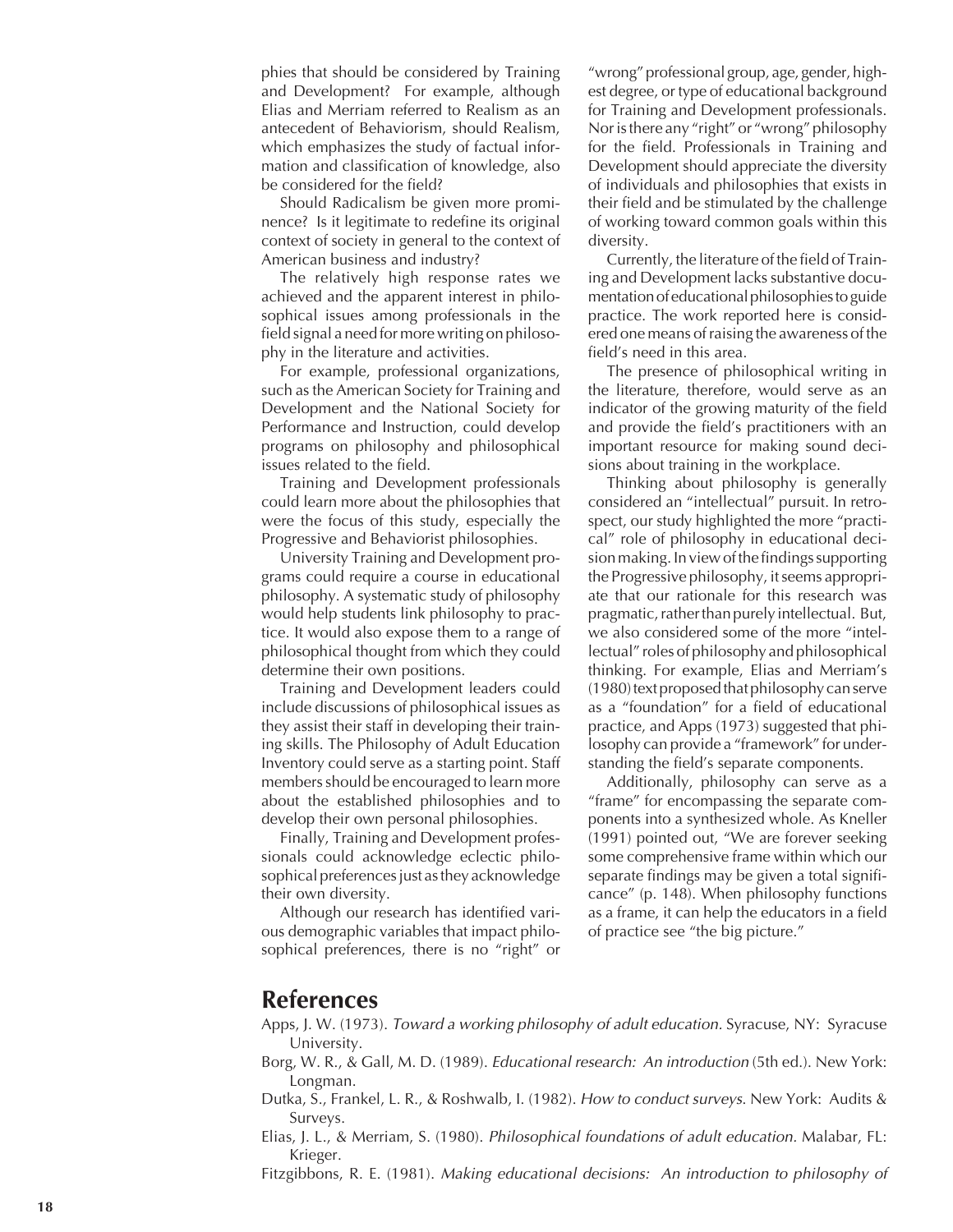phies that should be considered by Training and Development? For example, although Elias and Merriam referred to Realism as an antecedent of Behaviorism, should Realism, which emphasizes the study of factual information and classification of knowledge, also be considered for the field?

Should Radicalism be given more prominence? Is it legitimate to redefine its original context of society in general to the context of American business and industry?

The relatively high response rates we achieved and the apparent interest in philosophical issues among professionals in the field signal a need for more writing on philosophy in the literature and activities.

For example, professional organizations, such as the American Society for Training and Development and the National Society for Performance and Instruction, could develop programs on philosophy and philosophical issues related to the field.

Training and Development professionals could learn more about the philosophies that were the focus of this study, especially the Progressive and Behaviorist philosophies.

University Training and Development programs could require a course in educational philosophy. A systematic study of philosophy would help students link philosophy to practice. It would also expose them to a range of philosophical thought from which they could determine their own positions.

Training and Development leaders could include discussions of philosophical issues as they assist their staff in developing their training skills. The Philosophy of Adult Education Inventory could serve as a starting point. Staff members should be encouraged to learn more about the established philosophies and to develop their own personal philosophies.

Finally, Training and Development professionals could acknowledge eclectic philosophical preferences just as they acknowledge their own diversity.

Although our research has identified various demographic variables that impact philosophical preferences, there is no "right" or

"wrong" professional group, age, gender, highest degree, or type of educational background for Training and Development professionals. Nor is there any "right" or "wrong" philosophy for the field. Professionals in Training and Development should appreciate the diversity of individuals and philosophies that exists in their field and be stimulated by the challenge of working toward common goals within this diversity.

Currently, the literature of the field of Training and Development lacks substantive documentation of educational philosophies to guide practice. The work reported here is considered one means of raising the awareness of the field's need in this area.

The presence of philosophical writing in the literature, therefore, would serve as an indicator of the growing maturity of the field and provide the field's practitioners with an important resource for making sound decisions about training in the workplace.

Thinking about philosophy is generally considered an "intellectual" pursuit. In retrospect, our study highlighted the more "practical" role of philosophy in educational decision making. In view of the findings supporting the Progressive philosophy, it seems appropriate that our rationale for this research was pragmatic, rather than purely intellectual. But, we also considered some of the more "intellectual" roles of philosophy and philosophical thinking. For example, Elias and Merriam's (1980) text proposed that philosophy can serve as a "foundation" for a field of educational practice, and Apps (1973) suggested that philosophy can provide a "framework" for understanding the field's separate components.

Additionally, philosophy can serve as a "frame" for encompassing the separate components into a synthesized whole. As Kneller (1991) pointed out, "We are forever seeking some comprehensive frame within which our separate findings may be given a total significance" (p. 148). When philosophy functions as a frame, it can help the educators in a field of practice see "the big picture."

# **References**

- Apps, J. W. (1973). Toward a working philosophy of adult education. Syracuse, NY: Syracuse University.
- Borg, W. R., & Gall, M. D. (1989). Educational research: An introduction (5th ed.). New York: Longman.
- Dutka, S., Frankel, L. R., & Roshwalb, I. (1982). *How to conduct surveys*. New York: Audits & Surveys.
- Elias, J. L., & Merriam, S. (1980). Philosophical foundations of adult education. Malabar, FL: Krieger.
- Fitzgibbons, R. E. (1981). Making educational decisions: An introduction to philosophy of